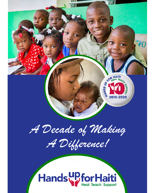

*A Decade of Making* 

*A Difference!*

# Hands Pfor Haiti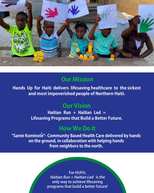

# **Our Mission**

**Hands Up for Haiti delivers lifesaving healthcare to the sickest and most impoverished people of Northern Haiti.**

## **Our Vision**

**Haitian Run + Haitian Led = Lifesaving Programs that Build a Better Future.**

### **How We Do It**

**"Sante Kominote"- Community Based Health Care delivered by hands `on the ground, in collaboration with helping hands from neighbors to the north.**

> **For HUFH, Haitian Run + Haitian Led is the only way to achieve lifesaving programs that build a better future!**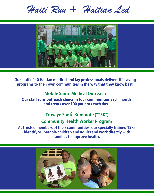*Haiti Run + Haitian Led*



**Our staff of 40 Haitian medical and lay professionals delivers lifesaving programs to their own communities in the way that they know best.**

#### **Mobile Sante Medical Outreach**

**Our staff runs outreach clinics in four communities each month and treats over 100 patients each day.**

#### **Community Health Worker Program Travaye Sante Kominote ("TSK")**

**As trusted members of their communities, our specially trained TSKs identify vulnerable children and adults and work directly with families to improve health.**

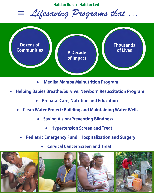**Haitian Run + Haitian Led**

*= Lifesaving Programs that ...*



- **Medika Mamba Malnutrition Program**
- **Helping Babies Breathe/Survive: Newborn Resuscitation Program**
	- **Prenatal Care, Nutrition and Education**
	- **Clean Water Project: Building and Maintaining Water Wells**
		- **Saving Vision/Preventing Blindness**
			- **Hypertension Screen and Treat**
		- **Pediatric Emergency Fund: Hospitalization and Surgery**
			- **Cervical Cancer Screen and Treat**

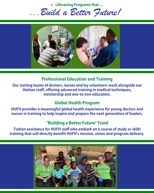**= Lifesaving Programs that ...**

*...Build a Better Future!*



#### **Professional Education and Training**

**Our visiting teams of doctors, nurses and lay volunteers work alongside our Haitian staff, offering advanced training in medical techniques, mentorship and one-to-one education.**

#### **Global Health Program**

**HUFH provides a meaningful global health experience for young doctors and nurses in training to help inspire and prepare the next generation of healers.**

#### **"Building a Better Future" Fund**

**Tuition assistance for HUFH staff who embark on a course of study or skills training that will directly benefit HUFH's mission, vision and program delivery.** 

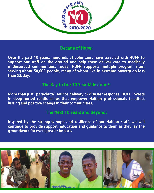

#### **Decade of Hope:**

**Over the past 10 years, hundreds of volunteers have traveled with HUFH to support our staff on the ground and help them deliver care to medically underserved communities. Today, HUFH supports multiple program sites, serving about 50,000 people, many of whom live in extreme poverty on less than \$2/day.** 

#### **The Key to Our 10 Year Milestone?:**

**More than just "parachute" service delivery or disaster response, HUFH invests in deep-rooted relationships that empower Haitian professionals to affect lasting and positive change in their communities.**

#### **The Next 10 Years and Beyond:**

**Inspired by the strength, hope and resilience of our Haitian staff, we will continue to provide support, education and guidance to them as they lay the groundwork for even greater impact.**

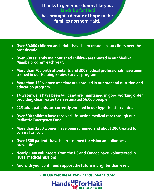#### **Thanks to generous donors like you, Hands Up for Haiti**

**has brought a decade of hope to the families northern Haiti.**

- **Over 60,000 children and adults have been treated in our clinics over the past decade.**
- **Over 600 severely malnourished children are treated in our Medika Mamba program each year.**
- **More than 700 birth attendants and 300 medical professionals have been trained in our Helping Babies Survive program.**
- **More than 120 women at a time are enrolled in our prenatal nutrition and education program.**
- **14 water wells have been built and are maintained in good working order, providing clean water to an estimated 56,000 people.**
- **225 adult patients are currently enrolled in our hypertension clinics.**
- **Over 500 children have received life-saving medical care through our Pediatric Emergency Fund.**
- **More than 2500 women have been screened and about 200 treated for cervical cancer.**
- **Over 1500 patients have been screened for vision and blindness prevention.**
- **Nearly 1000 volunteers from the US and Canada have volunteered in HUFH medical missions.**
- **And with your continued support the future is brighter than ever.**

**Visit Our Website at: www.handsupforhaiti.org**